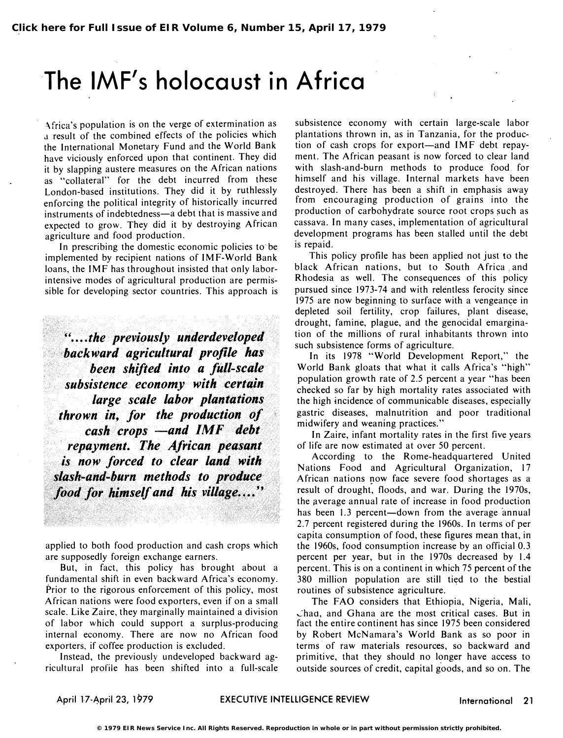# The IMF's holocaust in Africa

\frica's population is on the verge of extermination as a result of the combined effects of the policies which the International Monetary Fund and the World Bank have viciously enforced upon that continent. They did it by slapping austere measures on the African nations as "collateral" for the debt incurred from these London-based institutions. They did it by ruthlessly enforcing the political integrity of historically incurred instruments of indebtedness-a debt that is massive and expected to grow. They did it by destroying African agriculture and food production.

In prescribing the domestic economic policies to be implemented by recipient nations of IMF-World Bank loans, the IMF has throughout insisted that only laborintensive modes of agricultural production are permissible for developing sector countries. This approach is

 $H_{\bullet\bullet}$  the previously underdeveloped backward agricultural profile has been shifted into a full-scale subsistence economy with certain large scale labor plantations thrown in, for the production of  $cash$  crops  $—and$   $IMF$  debt repayment. The African peasant is now forced to clear land. with slash-and-burn methods to produce food for himself and his village....'

applied to both food production and cash crops which are supposedly foreign exchange earners.

But, in fact, this policy has brought about a fundamental shift in even backward Africa's economy. Prior to the rigorous enforcement of this policy, most African nations were food exporters, even if on a small scale. Like Zaire, they marginally maintained a division of labor which could support a surplus-producing internal economy. There are now no African food exporters, if coffee production is excluded.

Instead, the previously undeveloped backward agricultural profile has been shifted into a full-scale

subsistence economy with certain large-scale labor plantations thrown in, as in Tanzania, for the production of cash crops for export—and IMF debt repayment. The African peasant is now forced to clear land with slash-and-burn methods to produce food for himself and his village. Internal markets have been destroyed. There has been a shift in emphasis away from encouraging production of grains into the production of carbohydrate source root crops such as cassava. In many cases, implementation of agricultural development programs has been stalled until the debt is repaid.

This policy profile has been applied not just to the black African nations, but to South Africa and Rhodesia as well. The consequences of this policy pursued since 1973-74 and with relentless ferocity since 1975 are now beginning to surface with a vengeance in depleted soil fertility, crop failures, plant disease, drought, famine, plague, and the genocidal emargination of the millions of rural inhabitants thrown into such subsistence forms of agriculture.

In its 1978 "World Development Report," the World Bank gloats that what it calls Africa's "high" population growth rate of 2.5 percent a year "has been checked so far by high mortality rates associated with the high incidence of communicable diseases. especially gastric diseases, malnutrition and poor traditional midwifery and weaning practices."

In Zaire, infant mortality rates in the first five years of life are now estimated at over 50 percent.

According to the Rome-headquartered United Nations Food and Agricultural Organization, 17 African nations now face severe food shortages as a result of drought, floods, and war. During the 1970s, the average annual rate of increase in food production has been 1.3 percent-down from the average annual 2.7 percent registered during the 1960s. In terms of per capita consumption of food, these figures mean that, in the 1960s, food consumption increase by an official 0.3 percent per year, but in the 1970s decreased by 1.4 percent. This is on a continent in which 75 percent of the 380 million population are still tied to the bestial routines of subsistence agriculture.

The FAO considers that Ethiopia, Nigeria, Mali, �had, and Ghana are the most critical cases. But in fact the entire continent has since 1975 been considered by Robert McNamara's World Bank as so poor in terms· of raw materials resources, so backward and primitive, that they should no longer have access to outside sources of credit, capital goods, and so on. The

April 17-April 23, 1979 EXECUTIVE INTELLIGENCE REVIEW International 21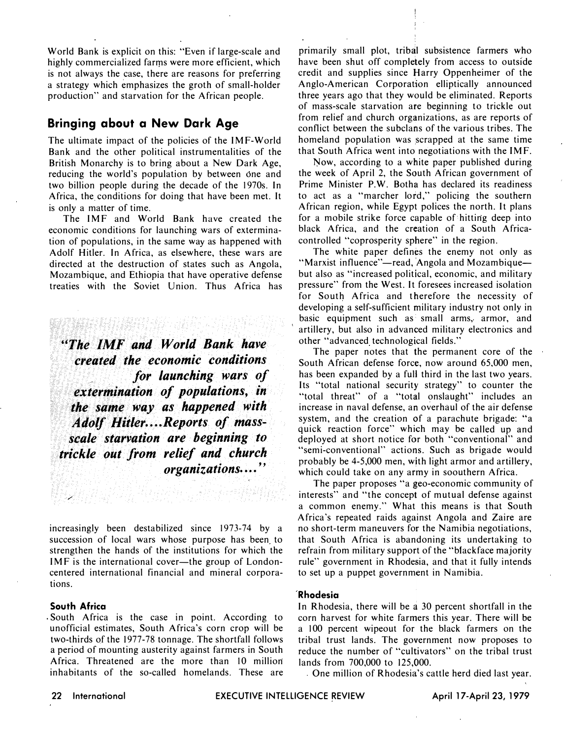World Bank is explicit on this: "Even if large-scale and highly commercialized farms were more efficient, which is not always the case, there are reasons for preferring a strategy which emphasizes the groth of small-holder production" and starvation for the African people.

### Bringing about a New Dark Age

The ultimate impact of the policies of the IMF-World Bank and the other political instrumentalities of the British Monarchy is to bring about a New Dark Age, reducing the world's population by between one and two billion people during the decade of the 1970s. In Africa, the conditions for doing that have been met. It is only a matter of time.

The IMF and World Bank have created the economic conditions for launching wars of extermination of populations, in the same way as happened with Adolf Hitler. In Africa, as elsewhere, these wars are directed at the destruction of states such as Angola, Mozambique, and Ethiopia that have operative defense treaties with the Soviet Union. Thus Africa has

"The IMF and World Bank have created the economic conditions for launching wars of extermination of populations, in the same way as happened with Adolf Hitler....Reports of massscale starvation are beginning to trickle out from relief and church organizations...."

increasingly been destabilized since 1973-74 by a succession of local wars whose purpose has been to strengthen the hands of the institutions for which the IMF is the international cover—the group of Londoncentered international financial and mineral corporations.

#### South Africa

. South Africa is the case in point. According to unofficial estimates, South Africa's corn crop will be two-thirds of the 1977-78 tonnage. The shortfall follows a period of mounting austerity against farmers in South Africa. Threatened are the more than 10 million inhabitants of the so-called homelands. These are

primarily small plot, tribal subsistence farmers who have been shut off completely from access to outside credit and supplies since Harry Oppenheimer of the Anglo-American Corporation elliptically announced three years ago that they would be eliminated. Reports of mass-scale starvation are beginning to trickle out from relief and church organizations, as are reports of conflict between the subclans of the various tribes. The homeland population was scrapped at the same time that South Africa went into negotiations with the IMF.

Now, according to a white paper published during the week of April 2, the South African government of Prime Minister P.W. Botha has declared its readiness to act as a "marcher lord," policing the southern African region, while Egypt polices the north. It plans for a mobile strike force capable of hitting deep into black Africa, and the creation of a South Africacontrolled "coprosperity sphere" in the region.

The white paper defines the enemy not only as "Marxist influence"—read, Angola and Mozambique but also as "increased political, economic, and military pressure" from the West. It foresees increased isolation for South Africa and therefore the necessity of developing a self-sufficient military industry not only in basic equipment such as small arms, armor, and artillery, but also in advanced military electronics and other "advanced technological fields."

The paper notes that the permanent core of the South African defense force, now around 65,000 men, has been expanded by a full third in the last two years. Its "total national security strategy" to counter the "total threat" of a "total onslaught" includes an increase in naval defense, an overhaul of the air defense system, and the creation of a parachute brigade: "a quick reaction force" which may be called up and deployed at short notice for both "conventional" and "semi-conventional" actions. Such as brigade would probably be 4-5,000 men, with light armor and artillery, which could take on any army in soouthern Africa.

The paper proposes "a geo-economic community of interests" and "the concept of mutual defense against a common enemy." What this means is that South Africa's repeated raids against Angola and Zaire are no short-term maneuvers for the Namibia negotiations, that South Africa is abandoning its undertaking to refrain from military support of the "blackface majority rule" government in Rhodesia, and that it fully intends to set up a puppet government in Namibia.

#### Rhodesia

In Rhodesia, there will be a 30 percent shortfall in the corn harvest for white farmers this year. There will be a 100 percent wipeout for the black farmers on the tribal trust lands. The government now proposes to reduce the number of "cultivators" on the tribal trust lands from 700,000 to 125,000.

One million of Rhodesia's cattle herd died last year.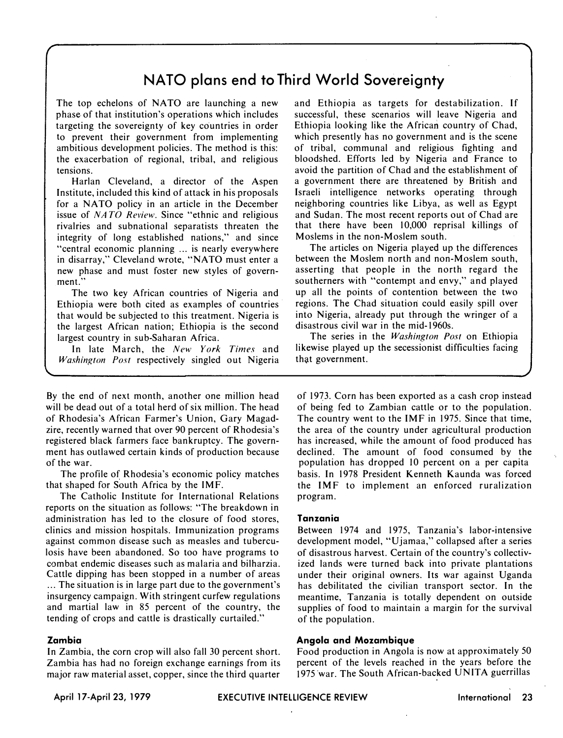# NATO plans end to Third World Sovereignty

The top echelons of NATO are launching a new phase of that institution's operations which includes targeting the sovereignty of key countries in order to prevent their government from implementing ambitious development policies. The method is this: the exacerbation of regional, tribal, and religious tensions.

Harlan Cleveland, a director of the Aspen Institute, included this kind of attack in his proposals for a NATO policy in an article in the December issue of NATO Review. Since "ethnic and religious rivalries and subnational separatists threaten the integrity of long established nations," and since "central economic planning ... is nearly everywhere in disarray," Cleveland wrote, "NATO must enter a new phase and must foster new styles of government."

The two key African countries of Nigeria and Ethiopia were both cited as examples of countries that would be SUbjected to this treatment. Nigeria is the largest African nation; Ethiopia is the second largest country in sub-Saharan Africa.

In late March, the New York Times and Washington Post respectively singled out Nigeria

By the end of next month, another one million head will be dead out of a total herd of six million. The head of Rhodesia's African Farmer's Union, Gary Magadzire, recently warned that over 90 percent of Rhodesia's registered black farmers face bankruptcy. The government has outlawed certain kinds of production because of the war.

The profile of Rhodesia's economic policy matches that shaped for South Africa by the IMF.

The Catholic Institute for International Relations reports on the situation as follows: "The breakdown in administration has led to the closure of food stores, clinics and mission hospitals. Immunization programs against common disease such as measles and tuberculosis have been abandoned. So too have programs to combat endemic diseases such as malaria and bilharzia. Cattle dipping has been stopped in a number of areas ... The situation is in large part due to the government's insurgency campaign. With stringent curfew regulations and martial law in 85 percent of the country, the tending of crops and cattle is drastically curtailed."

#### Zambia

r

In Zambia, the corn crop will also fall 30 percent short. Zambia has had no foreign exchange earnings from its major raw material asset, copper, since the third quarter and Ethiopia as targets for destabilization. If successful, these scenarios will leave Nigeria and Ethiopia looking like the African country of Chad, which presently has no government and is the scene of tribal, communal and religious fighting and bloodshed. Efforts led by Nigeria and France to avoid the partition of Chad and the establishment of a government there are threatened by British and Israeli intelligence networks operating through neighboring countries like Libya, as well as Egypt and Sudan. The most recent reports out of Chad are that there have been 10,000 reprisal killings of Moslems in the non-Moslem south.

The articles on Nigeria played up the differences between the Moslem north and non-Moslem south, asserting that people in the north regard the southerners with "contempt and envy," and played up all the points of contention between the two regions. The Chad situation could easily spill over into Nigeria, already put through the wringer of a disastrous civil war in the mid-1960s.

The series in the *Washington Post* on Ethiopia likewise played up the secessionist difficulties facing that government.

of 19�3. Corn has been exported as a cash crop instead of being fed to Zambian cattle or to the population. The country went to the IMF in 1975. Since that time, the area of the country under agricultural production has increased, while the amount of food produced has declined. The amount of food consumed by the population has dropped 10 percent on a per capita basis. In 1978 President Kenneth Kaunda was forced the IMF to implement an enforced ruralization program.

#### Tanzania

Between 1974 and 1975, Tanzania's labor-intensive development model, "Ujamaa," collapsed after a series of disastrous harvest. Certain of the country's collectivized lands were turned back into private plantations under their original owners. Its war against Uganda has debilitated the civilian transport sector. In the meantime, Tanzania is totally dependent on outside supplies of food to maintain a margin for the survival of the population.

#### Angola and Mozambique

Food production in Angola is now at approximately 50 percent of the levels reached in the years before the 1975 war. The South African-backed UNITA guerrillas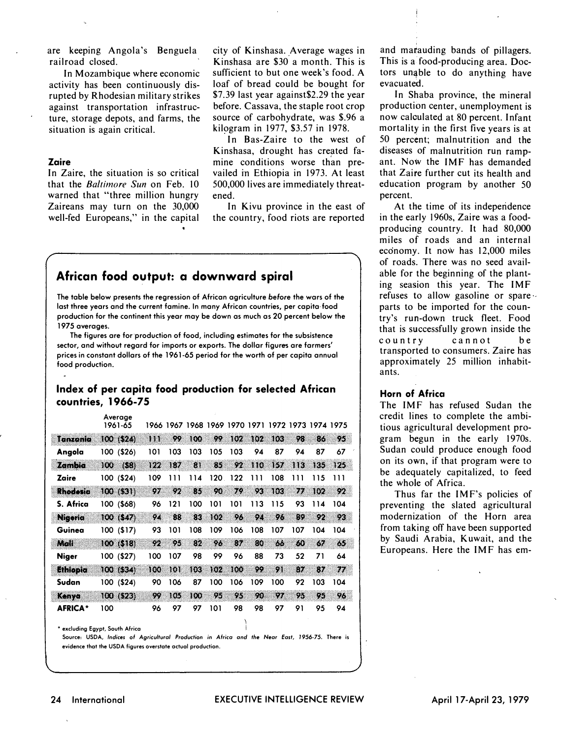are keeping Angola's Benguela railroad closed.

In Mozambique where economic activity has been continuously disrupted by Rhodesian military strikes against transportation infrastructure, storage depots, and farms, the situation is again critical.

#### Zaire

In Zaire, the situation is so critical that the Baltimore Sun on Feb. 10 warned that "three million hungry Zaireans may turn on the 30,000 well-fed Europeans," in the capital city of Kinshasa. Average wages in Kinshasa are \$30' a month. This is sufficient to but one week's food. A loaf of bread could be bought for \$7.39 last year against\$2.29 the year before. Cassava, the staple root crop source of carbohydrate, was \$.96 a kilogram in 1977, \$3.57 in 1978.

In Bas-Zaire to the west of Kinshasa, drought has created famine conditions worse than prevailed in Ethiopia in 1973. At least 500,000 lives are immediately threatened.

In Kivu province in the east of the country, food riots are reported

## African food output: a downward spiral

The table below presents the regression of African agriculture before the wars of the last three years and the current famine. In many African countries, per capita· food production for the continent this year may be down as much as 20 percent below the 1975 averages.

The figures are for production of food, including estimates for the subsistence sector, and without regard for imports or exports. The dollar figures are farmers' prices in constant dollars of the 1961-65 period for the worth of per capita annual food production.

#### Index of per capita food production for selected African countries, 1966-75

|                | Average<br>1961-65 |     |     |     |      | 1966 1967 1968 1969 1970 1971 1972 1973 1974 1975 |      |      |     |     |     |  |
|----------------|--------------------|-----|-----|-----|------|---------------------------------------------------|------|------|-----|-----|-----|--|
| Tanzania       | 100 (\$24)         | 111 | 99  | 100 | 99   | 162                                               | 102  | 108  | 24  | 86  | 95  |  |
| Angola         | (\$26)<br>100      | 101 | 103 | 103 | 105  | 103                                               | 94   | 87   | 94  | 87  | 67  |  |
| zamen          | (58)<br>100        | 82  | 832 | 81  | 85   | 92                                                | 18 O | 157. | ΤЮ  | 135 | 125 |  |
| Zaire          | ( \$24)<br>100     | 109 | ווו | 114 | 120. | 122                                               | ווו  | 108  | ווו | 115 | ווו |  |
| Rhodesia       | 100 (\$31)         | 97. | 92  | 85. | 90   | 29                                                | 98   | Tеk  | 77  | 802 | 92  |  |
| S. Africa      | 100 (\$68)         | 96  | 121 | 100 | 101  | 101                                               | 113  | 115  | 93  | 114 | 104 |  |
| Nigeria        | 100 (547)          | 94  | 88  | 83  | 102  | 96,                                               | 94   | 96   | 89. | 92  | 92  |  |
| Guinea         | 100(517)           | 93  | 101 | 108 | 109  | 106                                               | 108  | 107  | 107 | 104 | 104 |  |
| mar            | 100 (\$18)         | 92  | 95  | 82  | 96   | 82                                                | 80   | 66   | 68  | 67  | 65  |  |
| <b>Niger</b>   | 100 (\$27)         | 100 | 107 | 98  | 99   | 96                                                | 88   | 73   | 52  | 71  | 64  |  |
| Ethiopia       | 100 (534)          | 100 | 101 | 103 | 162  | 100                                               | 99   | 91   | 92  | 87  | 77  |  |
| Sudan          | 100 (\$24)         | 90  | 106 | 87  | 100  | 106                                               | 109  | 100  | 92  | 103 | 104 |  |
| Kanyo          | 100(523)           | 99  | 105 | 100 | 95   | 95                                                | 90   | 92   | 95. | 95  | 96  |  |
| <b>AFRICA*</b> | 100                | 96  | 97  | 97  | 101  | 98                                                | 98   | 97   | 91  | 95  | 94  |  |
|                |                    |     |     |     |      |                                                   |      |      |     |     |     |  |

\* excluding Egypt, South Africa

Source, USDA, Indices of Agricultural Production in Africa and the Near East, 1956·75. There is evidence that the USDA figures overstate octual production.

and matauding bands of pillagers. This is a food-producing area. Doctors um�ble to do anything have evacuated.

In Shaba province, the mineral production center, unemployment is now calculated at 80 percent. Infant mortality in the first five years is at 50 percent; malnutrition and the diseases of malnutrition run rampant. Now the IMF has demanded that Zaire further cut its health and education program by another 50 percent.

At the time of its independence in the early 1960s, Zaire was a foodproducing country. It had 80,000 miles of roads and an internal economy. It now has 12,000 miles of roads. There was no seed available for the beginning of the planting seasion this year. The IMF refuses to allow gasoline or spare· parts to be imported for the country's run-down truck fleet. Food that is successfully grown inside the country cannot be transported to consumers. Zaire has approximately 25 million inhabitants.

#### Horn of Africa

The IMF has refused Sudan the credit lines to complete the ambitious agricultural development program begun in the early 1970s. Sudan could produce enough food on its own, if that program were to be adequately capitalized, to feed the whole of Africa.

Thus far the IMF's policies of preventing the slated agricultural modernization of the Horn area from taking off have been supported by Saudi Arabia, Kuwait, and the Europeans. Here the IMF has em-